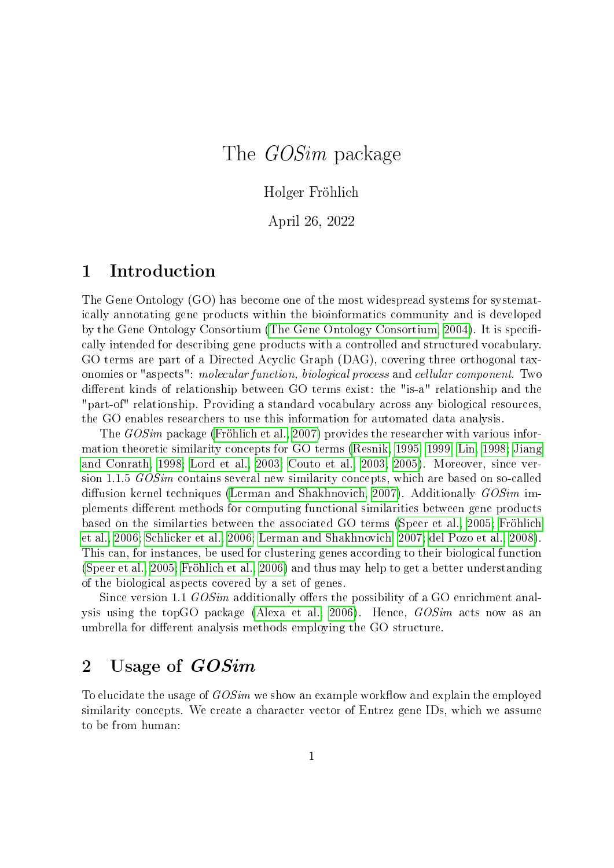# The *GOSim* package

Holger Fröhlich

April 26, 2022

## 1 Introduction

The Gene Ontology (GO) has become one of the most widespread systems for systematically annotating gene products within the bioinformatics community and is developed by the Gene Ontology Consortium [\(The Gene Ontology Consortium, 2004\)](#page-17-0). It is specifically intended for describing gene products with a controlled and structured vocabulary. GO terms are part of a Directed Acyclic Graph (DAG), covering three orthogonal taxonomies or "aspects": molecular function, biological process and cellular component. Two different kinds of relationship between GO terms exist: the "is-a" relationship and the "part-of" relationship. Providing a standard vocabulary across any biological resources, the GO enables researchers to use this information for automated data analysis.

The GOSim package [\(Fröhlich et al., 2007\)](#page-16-0) provides the researcher with various information theoretic similarity concepts for GO terms [\(Resnik, 1995,](#page-17-1) [1999;](#page-17-2) [Lin, 1998;](#page-16-1) [Jiang](#page-16-2) [and Conrath, 1998;](#page-16-2) [Lord et al., 2003;](#page-16-3) [Couto et al., 2003,](#page-16-4) [2005\)](#page-16-5). Moreover, since version 1.1.5 GOSim contains several new similarity concepts, which are based on so-called diffusion kernel techniques [\(Lerman and Shakhnovich, 2007\)](#page-16-6). Additionally  $GOSim$  implements different methods for computing functional similarities between gene products based on the similarties between the associated GO terms [\(Speer et al., 2005;](#page-17-3) [Fröhlich](#page-16-7) [et al., 2006;](#page-16-7) [Schlicker et al., 2006;](#page-17-4) [Lerman and Shakhnovich, 2007;](#page-16-6) [del Pozo et al., 2008\)](#page-16-8). This can, for instances, be used for clustering genes according to their biological function [\(Speer et al., 2005;](#page-17-3) [Fröhlich et al., 2006\)](#page-16-7) and thus may help to get a better understanding of the biological aspects covered by a set of genes.

Since version 1.1  $GOSim$  additionally offers the possibility of a GO enrichment anal-ysis using the topGO package [\(Alexa et al., 2006\)](#page-16-9). Hence,  $GOSim$  acts now as an umbrella for different analysis methods employing the GO structure.

## 2 Usage of GOSim

To elucidate the usage of  $GOSim$  we show an example workflow and explain the employed similarity concepts. We create a character vector of Entrez gene IDs, which we assume to be from human: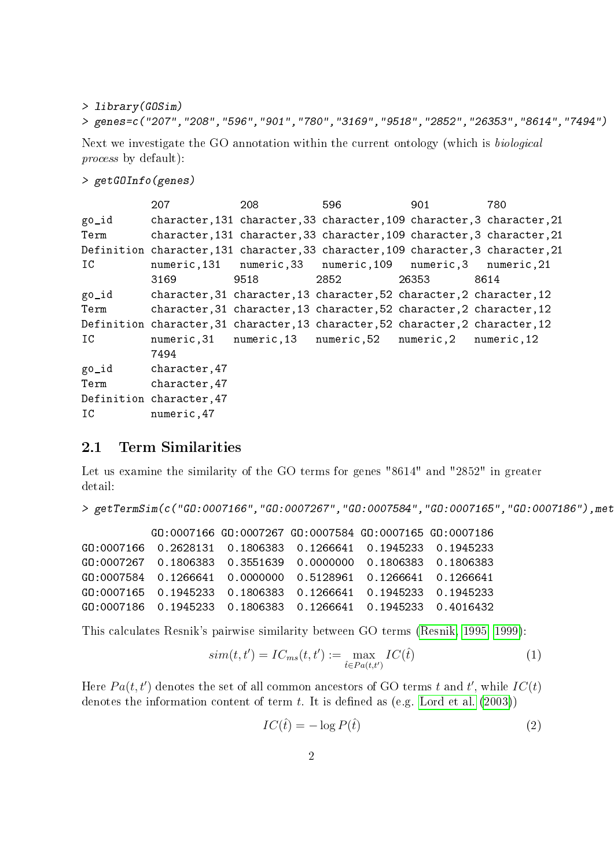> library(GOSim)

> genes=c("207","208","596","901","780","3169","9518","2852","26353","8614","7494")

Next we investigate the GO annotation within the current ontology (which is *biological* process by default):

> getGOInfo(genes)

|              | 207                                                                             | 208             | 596 | 901 | 780                                                                               |
|--------------|---------------------------------------------------------------------------------|-----------------|-----|-----|-----------------------------------------------------------------------------------|
| go_id        |                                                                                 |                 |     |     | character, 131 character, 33 character, 109 character, 3 character, 21            |
| Term         |                                                                                 |                 |     |     | character, 131 character, 33 character, 109 character, 3 character, 21            |
|              |                                                                                 |                 |     |     | Definition character, 131 character, 33 character, 109 character, 3 character, 21 |
| $_{\rm{IC}}$ | numeric, 131 numeric, 33 numeric, 109 numeric, 3 numeric, 21                    |                 |     |     |                                                                                   |
|              | 3169                                                                            | 9518 2852 26353 |     |     | -8614                                                                             |
| go_id        | character, 31 character, 13 character, 52 character, 2 character, 12            |                 |     |     |                                                                                   |
| Term         | character, 31 character, 13 character, 52 character, 2 character, 12            |                 |     |     |                                                                                   |
|              | Definition character, 31 character, 13 character, 52 character, 2 character, 12 |                 |     |     |                                                                                   |
| IC           | numeric, 31 numeric, 13 numeric, 52 numeric, 2 numeric, 12                      |                 |     |     |                                                                                   |
|              | 7494                                                                            |                 |     |     |                                                                                   |
| go_id        | character, 47                                                                   |                 |     |     |                                                                                   |
|              | Term character, 47                                                              |                 |     |     |                                                                                   |
|              | Definition character, 47                                                        |                 |     |     |                                                                                   |
| IC           | numeric, 47                                                                     |                 |     |     |                                                                                   |

## 2.1 Term Similarities

Let us examine the similarity of the GO terms for genes "8614" and "2852" in greater detail:

> getTermSim(c("GO:0007166","GO:0007267","GO:0007584","GO:0007165","GO:0007186"),met

|  |  | G0:0007166 G0:0007267 G0:0007584 G0:0007165 G0:0007186<br>G0:0007166  0.2628131  0.1806383  0.1266641  0.1945233  0.1945233<br>G0:0007267  0.1806383  0.3551639  0.0000000  0.1806383  0.1806383<br>$G0:0007584$ 0.1266641 0.0000000 0.5128961 0.1266641 0.1266641<br>G0:0007165  0.1945233  0.1806383  0.1266641  0.1945233  0.1945233<br>G0:0007186  0.1945233  0.1806383  0.1266641  0.1945233  0.4016432 |
|--|--|--------------------------------------------------------------------------------------------------------------------------------------------------------------------------------------------------------------------------------------------------------------------------------------------------------------------------------------------------------------------------------------------------------------|

This calculates Resnik's pairwise similarity between GO terms [\(Resnik, 1995,](#page-17-1) [1999\)](#page-17-2):

$$
sim(t, t') = IC_{ms}(t, t') := \max_{\hat{t} \in Pa(t, t')} IC(\hat{t})
$$
\n(1)

Here  $Pa(t, t')$  denotes the set of all common ancestors of GO terms  $t$  and  $t',$  while  $IC(t)$ denotes the information content of term  $t$ . It is defined as (e.g. [Lord et al.](#page-16-3)  $(2003)$ )

$$
IC(\hat{t}) = -\log P(\hat{t})
$$
\n(2)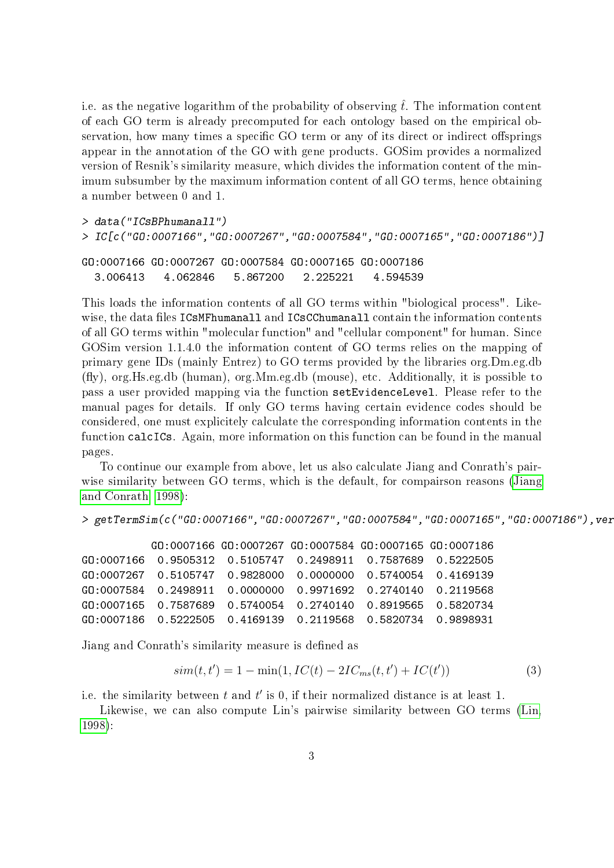i.e. as the negative logarithm of the probability of observing  $\hat{t}$ . The information content of each GO term is already precomputed for each ontology based on the empirical observation, how many times a specific GO term or any of its direct or indirect offsprings appear in the annotation of the GO with gene products. GOSim provides a normalized version of Resnik's similarity measure, which divides the information content of the minimum subsumber by the maximum information content of all GO terms, hence obtaining a number between 0 and 1.

```
> data("ICsBPhumanall")
> IC[c("GO:0007166","GO:0007267","GO:0007584","GO:0007165","GO:0007186")]
GO:0007166 GO:0007267 GO:0007584 GO:0007165 GO:0007186
 3.006413 4.062846 5.867200 2.225221 4.594539
```
This loads the information contents of all GO terms within "biological process". Likewise, the data files ICsMFhumanall and ICsCChumanall contain the information contents of all GO terms within "molecular function" and "cellular component" for human. Since GOSim version 1.1.4.0 the information content of GO terms relies on the mapping of primary gene IDs (mainly Entrez) to GO terms provided by the libraries org.Dm.eg.db  $(fly)$ , org.Hs.eg.db (human), org.Mm.eg.db (mouse), etc. Additionally, it is possible to pass a user provided mapping via the function setEvidenceLevel. Please refer to the manual pages for details. If only GO terms having certain evidence codes should be considered, one must explicitely calculate the corresponding information contents in the function calcICs. Again, more information on this function can be found in the manual pages.

To continue our example from above, let us also calculate Jiang and Conrath's pairwise similarity between GO terms, which is the default, for compairson reasons [\(Jiang](#page-16-2) [and Conrath, 1998\)](#page-16-2):

```
> getTermSim(c("GO:0007166","GO:0007267","GO:0007584","GO:0007165","GO:0007186"),verbose=FALSE)
```

|  | G0:0007166 G0:0007267 G0:0007584 G0:0007165 G0:0007186                 |  |
|--|------------------------------------------------------------------------|--|
|  | G0:0007166  0.9505312  0.5105747  0.2498911  0.7587689  0.5222505      |  |
|  | G0:0007267  0.5105747  0.9828000  0.0000000  0.5740054  0.4169139      |  |
|  | G0:0007584   0.2498911   0.0000000   0.9971692   0.2740140   0.2119568 |  |
|  | G0:0007165  0.7587689  0.5740054  0.2740140  0.8919565  0.5820734      |  |
|  | G0:0007186  0.5222505  0.4169139  0.2119568  0.5820734  0.9898931      |  |

Jiang and Conrath's similarity measure is defined as

$$
sim(t, t') = 1 - \min(1, IC(t) - 2IC_{ms}(t, t') + IC(t'))
$$
\n(3)

i.e. the similarity between  $t$  and  $t'$  is 0, if their normalized distance is at least 1.

Likewise, we can also compute Lin's pairwise similarity between GO terms [\(Lin,](#page-16-1) [1998\)](#page-16-1):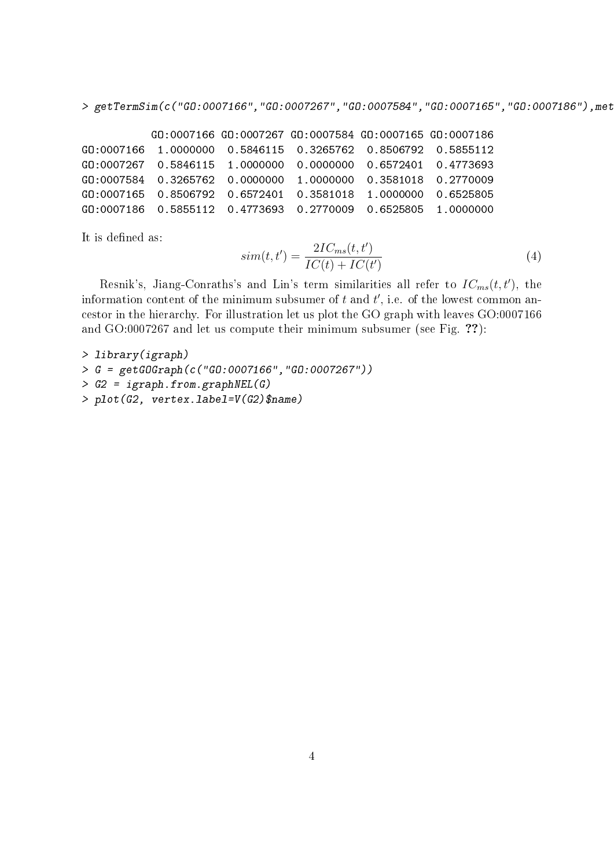> getTermSim(c("GO:0007166","GO:0007267","GO:0007584","GO:0007165","GO:0007186"),met

GO:0007166 GO:0007267 GO:0007584 GO:0007165 GO:0007186 GO:0007166 1.0000000 0.5846115 0.3265762 0.8506792 0.5855112 GO:0007267 0.5846115 1.0000000 0.0000000 0.6572401 0.4773693 GO:0007584 0.3265762 0.0000000 1.0000000 0.3581018 0.2770009 GO:0007165 0.8506792 0.6572401 0.3581018 1.0000000 0.6525805 GO:0007186 0.5855112 0.4773693 0.2770009 0.6525805 1.0000000

It is defined as:

<span id="page-3-0"></span>
$$
sim(t, t') = \frac{2IC_{ms}(t, t')}{IC(t) + IC(t')}
$$
\n
$$
(4)
$$

Resnik's, Jiang-Conraths's and Lin's term similarities all refer to  $IC_{ms}(t, t')$ , the information content of the minimum subsumer of  $t$  and  $t'$ , i.e. of the lowest common ancestor in the hierarchy. For illustration let us plot the GO graph with leaves GO:0007166 and GO:0007267 and let us compute their minimum subsumer (see Fig. ??):

- > library(igraph) > G = getGOGraph(c("GO:0007166","GO:0007267"))  $>$  G2 = igraph.from.graphNEL(G)
- > plot(G2, vertex.label=V(G2)\$name)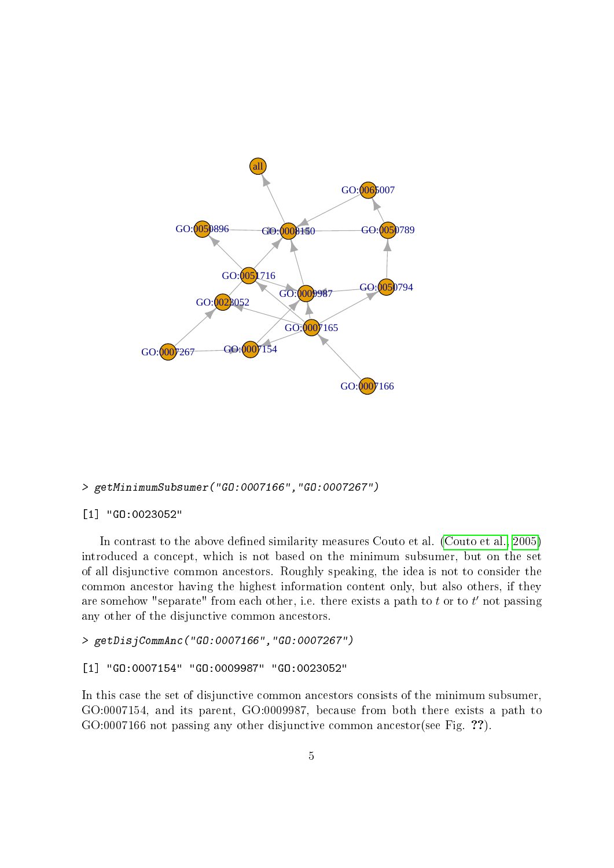

> getMinimumSubsumer("GO:0007166","GO:0007267")

[1] "GO:0023052"

In contrast to the above defined similarity measures Couto et al. [\(Couto et al., 2005\)](#page-16-5) introduced a concept, which is not based on the minimum subsumer, but on the set of all disjunctive common ancestors. Roughly speaking, the idea is not to consider the common ancestor having the highest information content only, but also others, if they are somehow "separate" from each other, i.e. there exists a path to  $t$  or to  $t'$  not passing any other of the disjunctive common ancestors.

> getDisjCommAnc("GO:0007166","GO:0007267")

[1] "GO:0007154" "GO:0009987" "GO:0023052"

In this case the set of disjunctive common ancestors consists of the minimum subsumer, GO:0007154, and its parent, GO:0009987, because from both there exists a path to GO:0007166 not passing any other disjunctive common ancestor(see Fig. ??).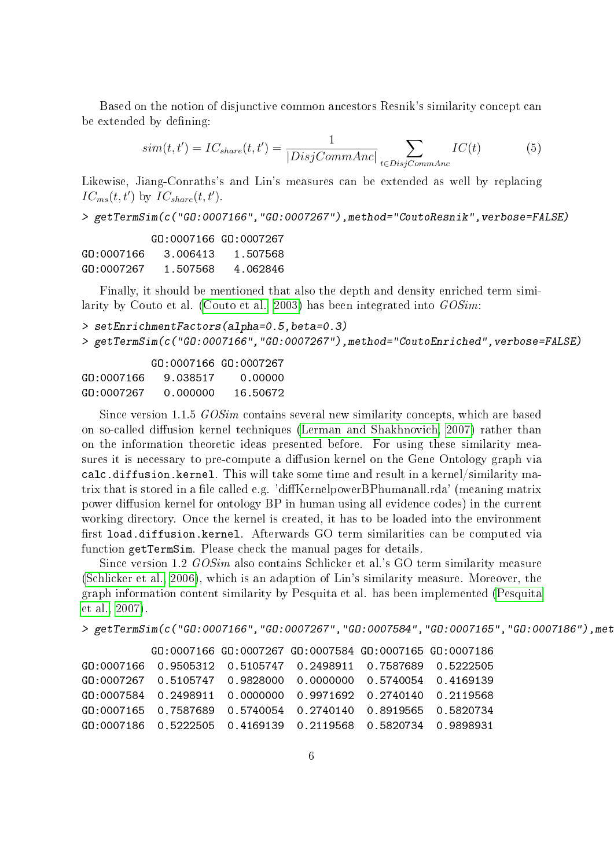Based on the notion of disjunctive common ancestors Resnik's similarity concept can be extended by defining:

$$
sim(t, t') = IC_{share}(t, t') = \frac{1}{|DisjCommAnc|} \sum_{t \in DisjCommAnc} IC(t)
$$
 (5)

Likewise, Jiang-Conraths's and Lin's measures can be extended as well by replacing  $IC_{ms}(t, t')$  by  $IC_{share}(t, t').$ 

> getTermSim(c("GO:0007166","GO:0007267"),method="CoutoResnik",verbose=FALSE)

|            | GO:0007166 GO:0007267 |          |
|------------|-----------------------|----------|
| GO:0007166 | 3.006413              | 1.507568 |
| GO:0007267 | 1.507568              | 4.062846 |

Finally, it should be mentioned that also the depth and density enriched term simi-larity by Couto et al. [\(Couto et al., 2003\)](#page-16-4) has been integrated into  $GOSim$ :

```
> setEnrichmentFactors(alpha=0.5,beta=0.3)
```
> getTermSim(c("GO:0007166","GO:0007267"),method="CoutoEnriched",verbose=FALSE)

|            |          | GO:0007166 GO:0007267 |
|------------|----------|-----------------------|
| GO:0007166 | 9.038517 | 0.00000               |
| GO:0007267 | 0.000000 | 16.50672              |

Since version 1.1.5 GOSim contains several new similarity concepts, which are based on so-called diffusion kernel techniques [\(Lerman and Shakhnovich, 2007\)](#page-16-6) rather than on the information theoretic ideas presented before. For using these similarity measures it is necessary to pre-compute a diffusion kernel on the Gene Ontology graph via calc.diffusion.kernel. This will take some time and result in a kernel/similarity matrix that is stored in a file called e.g. 'diffKernelpowerBPhumanall.rda' (meaning matrix power diffusion kernel for ontology BP in human using all evidence codes) in the current working directory. Once the kernel is created, it has to be loaded into the environment first load.diffusion.kernel. Afterwards GO term similarities can be computed via function getTermSim. Please check the manual pages for details.

Since version 1.2 GOSim also contains Schlicker et al.'s GO term similarity measure [\(Schlicker et al., 2006\)](#page-17-4), which is an adaption of Lin's similarity measure. Moreover, the graph information content similarity by Pesquita et al. has been implemented [\(Pesquita](#page-17-5) [et al., 2007\)](#page-17-5).

> getTermSim(c("GO:0007166","GO:0007267","GO:0007584","GO:0007165","GO:0007186"),met

|  | GO:0007166 GO:0007267 GO:0007584 GO:0007165 GO:0007186            |  |
|--|-------------------------------------------------------------------|--|
|  | G0:0007166  0.9505312  0.5105747  0.2498911  0.7587689  0.5222505 |  |
|  | G0:0007267  0.5105747  0.9828000  0.0000000  0.5740054  0.4169139 |  |
|  | G0:0007584  0.2498911  0.0000000  0.9971692  0.2740140  0.2119568 |  |
|  | G0:0007165  0.7587689  0.5740054  0.2740140  0.8919565  0.5820734 |  |
|  | G0:0007186  0.5222505  0.4169139  0.2119568  0.5820734  0.9898931 |  |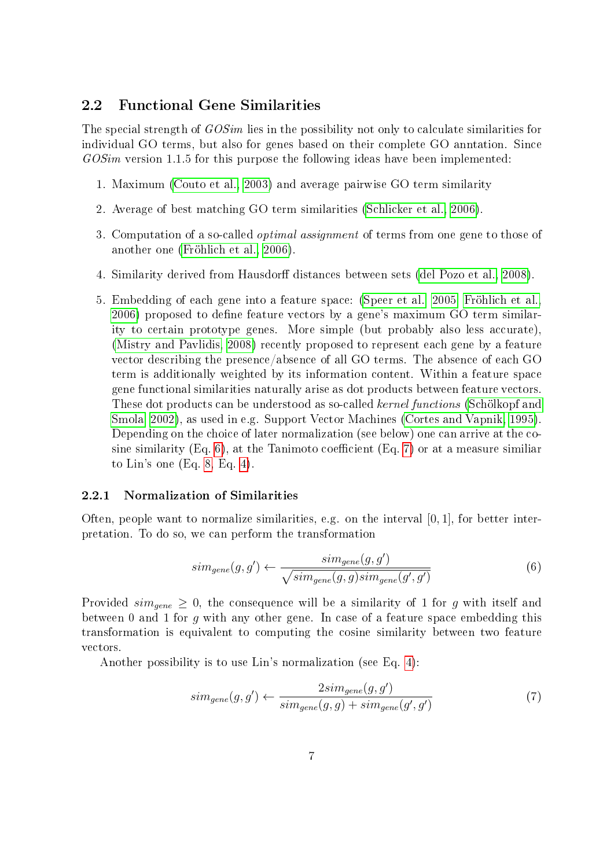### 2.2 Functional Gene Similarities

The special strength of  $GOSim$  lies in the possibility not only to calculate similarities for individual GO terms, but also for genes based on their complete GO anntation. Since GOSim version 1.1.5 for this purpose the following ideas have been implemented:

- 1. Maximum [\(Couto et al., 2003\)](#page-16-4) and average pairwise GO term similarity
- 2. Average of best matching GO term similarities [\(Schlicker et al., 2006\)](#page-17-4).
- 3. Computation of a so-called optimal assignment of terms from one gene to those of another one [\(Fröhlich et al., 2006\)](#page-16-7).
- 4. Similarity derived from Hausdorff distances between sets [\(del Pozo et al., 2008\)](#page-16-8).
- 5. Embedding of each gene into a feature space: [\(Speer et al., 2005;](#page-17-3) [Fröhlich et al.,](#page-16-7) [2006\)](#page-16-7) proposed to dene feature vectors by a gene's maximum GO term similarity to certain prototype genes. More simple (but probably also less accurate), [\(Mistry and Pavlidis, 2008\)](#page-17-6) recently proposed to represent each gene by a feature vector describing the presence/absence of all GO terms. The absence of each GO term is additionally weighted by its information content. Within a feature space gene functional similarities naturally arise as dot products between feature vectors. These dot products can be understood as so-called kernel functions [\(Schölkopf and](#page-17-7) [Smola, 2002\)](#page-17-7), as used in e.g. Support Vector Machines [\(Cortes and Vapnik, 1995\)](#page-16-10). Depending on the choice of later normalization (see below) one can arrive at the cosine similarity  $(Eq. 6)$  $(Eq. 6)$ , at the Tanimoto coefficient  $(Eq. 7)$  $(Eq. 7)$  or at a measure similiar to Lin's one  $(Eq. 8, Eq. 4)$  $(Eq. 8, Eq. 4)$  $(Eq. 8, Eq. 4)$  $(Eq. 8, Eq. 4)$ .

#### 2.2.1 Normalization of Similarities

Often, people want to normalize similarities, e.g. on the interval  $[0, 1]$ , for better interpretation. To do so, we can perform the transformation

<span id="page-6-0"></span>
$$
sim_{gene}(g, g') \leftarrow \frac{sim_{gene}(g, g')}{\sqrt{sim_{gene}(g, g)sim_{gene}(g', g')}}
$$
 (6)

Provided  $sim_{gene} \geq 0$ , the consequence will be a similarity of 1 for g with itself and between 0 and 1 for  $q$  with any other gene. In case of a feature space embedding this transformation is equivalent to computing the cosine similarity between two feature vectors.

Another possibility is to use Lin's normalization (see Eq. [4\)](#page-3-0):

<span id="page-6-1"></span>
$$
sim_{gene}(g, g') \leftarrow \frac{2sim_{gene}(g, g')}{sim_{gene}(g, g) + sim_{gene}(g', g')} \tag{7}
$$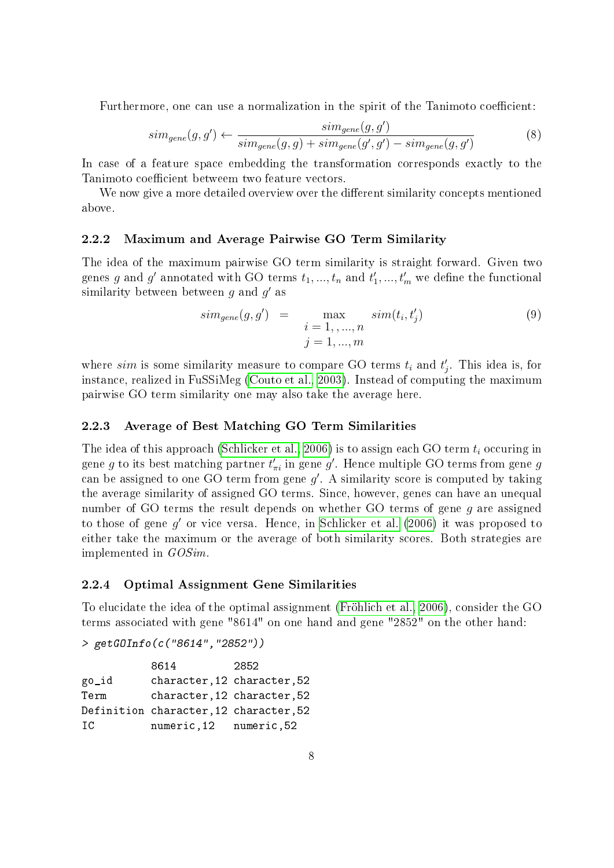Furthermore, one can use a normalization in the spirit of the Tanimoto coefficient:

<span id="page-7-0"></span>
$$
sim_{gene}(g, g') \leftarrow \frac{sim_{gene}(g, g')}{sim_{gene}(g, g) + sim_{gene}(g', g') - sim_{gene}(g, g')} \tag{8}
$$

In case of a feature space embedding the transformation corresponds exactly to the Tanimoto coefficient betweem two feature vectors.

We now give a more detailed overview over the different similarity concepts mentioned above.

#### 2.2.2 Maximum and Average Pairwise GO Term Similarity

The idea of the maximum pairwise GO term similarity is straight forward. Given two genes  $g$  and  $g'$  annotated with GO terms  $t_1, ..., t_n$  and  $t'_1, ..., t'_m$  we define the functional similarity between between  $g$  and  $g'$  as

$$
sim_{gene}(g, g') = \max_{\begin{array}{l} i = 1, ..., n \\ j = 1, ..., m \end{array}} sim(t_i, t'_j)
$$
(9)

where sim is some similarity measure to compare GO terms  $t_i$  and  $t'_j$ . This idea is, for instance, realized in FuSSiMeg [\(Couto et al., 2003\)](#page-16-4). Instead of computing the maximum pairwise GO term similarity one may also take the average here.

#### 2.2.3 Average of Best Matching GO Term Similarities

The idea of this approach [\(Schlicker et al., 2006\)](#page-17-4) is to assign each GO term  $t_i$  occuring in gene  $g$  to its best matching partner  $t'_{\pi i}$  in gene  $g'$ . Hence multiple GO terms from gene  $g$ can be assigned to one GO term from gene  $g'$ . A similarity score is computed by taking the average similarity of assigned GO terms. Since, however, genes can have an unequal number of GO terms the result depends on whether GO terms of gene  $q$  are assigned to those of gene  $g'$  or vice versa. Hence, in [Schlicker et al.](#page-17-4) [\(2006\)](#page-17-4) it was proposed to either take the maximum or the average of both similarity scores. Both strategies are implemented in GOSim.

#### 2.2.4 Optimal Assignment Gene Similarities

To elucidate the idea of the optimal assignment [\(Fröhlich et al., 2006\)](#page-16-7), consider the GO terms associated with gene "8614" on one hand and gene "2852" on the other hand:

> getGOInfo(c("8614","2852"))

|       | 8614                                   | 2852                        |
|-------|----------------------------------------|-----------------------------|
| go_id |                                        | character, 12 character, 52 |
| Term  |                                        | character, 12 character, 52 |
|       | Definition character, 12 character, 52 |                             |
| TC.   | numeric, 12 numeric, 52                |                             |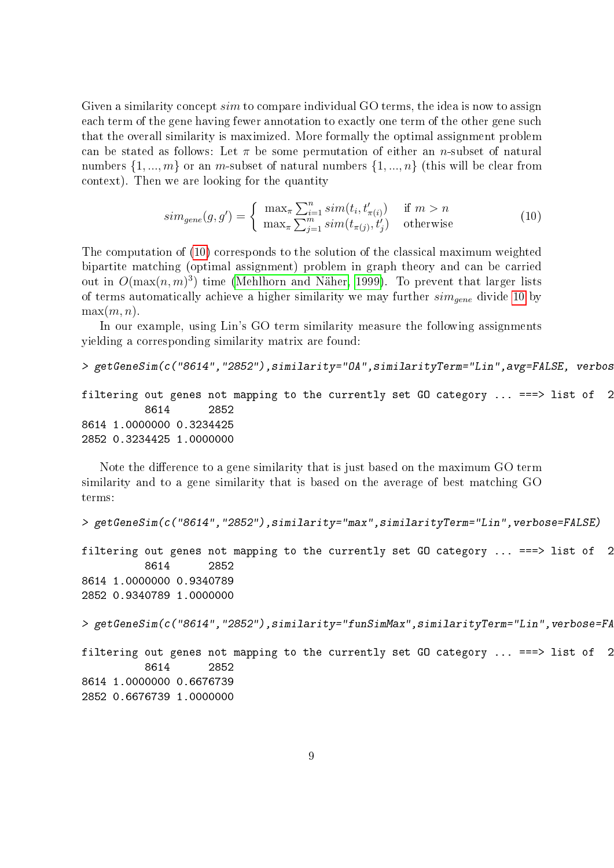Given a similarity concept sim to compare individual GO terms, the idea is now to assign each term of the gene having fewer annotation to exactly one term of the other gene such that the overall similarity is maximized. More formally the optimal assignment problem can be stated as follows: Let  $\pi$  be some permutation of either an *n*-subset of natural numbers  $\{1, ..., m\}$  or an m-subset of natural numbers  $\{1, ..., n\}$  (this will be clear from context). Then we are looking for the quantity

<span id="page-8-0"></span>
$$
sim_{gene}(g, g') = \begin{cases} \max_{\pi} \sum_{i=1}^{n} sim(t_i, t'_{\pi(i)}) & \text{if } m > n \\ \max_{\pi} \sum_{j=1}^{m} sim(t_{\pi(j)}, t'_{j}) & \text{otherwise} \end{cases}
$$
(10)

The computation of [\(10\)](#page-8-0) corresponds to the solution of the classical maximum weighted bipartite matching (optimal assignment) problem in graph theory and can be carried out in  $O(\max(n,m)^3)$  time [\(Mehlhorn and Näher, 1999\)](#page-17-8). To prevent that larger lists of terms automatically achieve a higher similarity we may further  $sim_{gene}$  divide [10](#page-8-0) by  $max(m, n)$ .

In our example, using Lin's GO term similarity measure the following assignments yielding a corresponding similarity matrix are found:

```
> getGeneSim(c("8614","2852"),similarity="OA",similarityTerm="Lin",avg=FALSE, verbos
filtering out genes not mapping to the currently set GO category \dots ===> list of 2
          8614 2852
8614 1.0000000 0.3234425
2852 0.3234425 1.0000000
```
Note the difference to a gene similarity that is just based on the maximum GO term similarity and to a gene similarity that is based on the average of best matching GO terms:

```
> getGeneSim(c("8614","2852"),similarity="max",similarityTerm="Lin",verbose=FALSE)
filtering out genes not mapping to the currently set GO category \dots ===> list of 2
          8614 2852
8614 1.0000000 0.9340789
2852 0.9340789 1.0000000
> getGeneSim(c("8614","2852"),similarity="funSimMax",similarityTerm="Lin",verbose=FA
filtering out genes not mapping to the currently set GO category \dots ===> list of 2
          8614 2852
8614 1.0000000 0.6676739
```
2852 0.6676739 1.0000000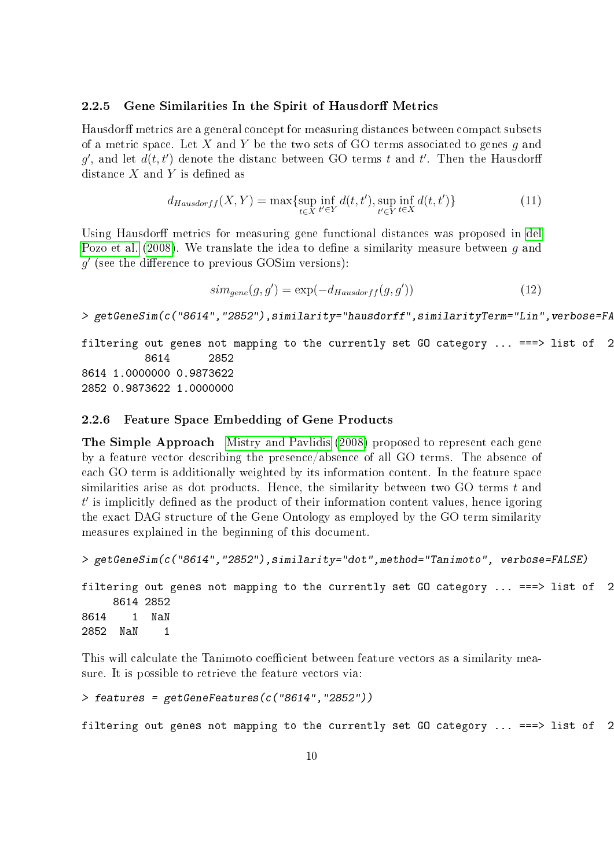#### 2.2.5 Gene Similarities In the Spirit of Hausdorff Metrics

Hausdorff metrics are a general concept for measuring distances between compact subsets of a metric space. Let X and Y be the two sets of GO terms associated to genes  $g$  and g', and let  $d(t, t')$  denote the distanc between GO terms t and t'. Then the Hausdorff distance  $X$  and  $Y$  is defined as

$$
d_{Hausdorff}(X,Y) = \max\{\sup_{t \in X} \inf_{t' \in Y} d(t,t'), \sup_{t' \in Y} \inf_{t \in X} d(t,t')\} \tag{11}
$$

Using Hausdorff metrics for measuring gene functional distances was proposed in [del](#page-16-8) [Pozo et al.](#page-16-8) [\(2008\)](#page-16-8). We translate the idea to define a similarity measure between  $g$  and  $g'$  (see the difference to previous GOSim versions):

$$
sim_{gene}(g, g') = \exp(-d_{Hausdorff}(g, g')) \tag{12}
$$

> getGeneSim(c("8614","2852"),similarity="hausdorff",similarityTerm="Lin",verbose=FA

filtering out genes not mapping to the currently set GO category  $\dots$  ===> list of 2 8614 2852 8614 1.0000000 0.9873622 2852 0.9873622 1.0000000

#### 2.2.6 Feature Space Embedding of Gene Products

The Simple Approach [Mistry and Pavlidis](#page-17-6) [\(2008\)](#page-17-6) proposed to represent each gene by a feature vector describing the presence/absence of all GO terms. The absence of each GO term is additionally weighted by its information content. In the feature space similarities arise as dot products. Hence, the similarity between two GO terms  $t$  and  $t'$  is implicitly defined as the product of their information content values, hence igoring the exact DAG structure of the Gene Ontology as employed by the GO term similarity measures explained in the beginning of this document.

```
> getGeneSim(c("8614","2852"),similarity="dot",method="Tanimoto", verbose=FALSE)
```
filtering out genes not mapping to the currently set GO category  $\dots$  ===> list of 2 8614 2852 8614 1 NaN 2852 NaN 1

This will calculate the Tanimoto coefficient between feature vectors as a similarity measure. It is possible to retrieve the feature vectors via:

```
> features = getGeneFeatures(c("8614","2852"))
```
filtering out genes not mapping to the currently set GO category  $\dots$  ===> list of 2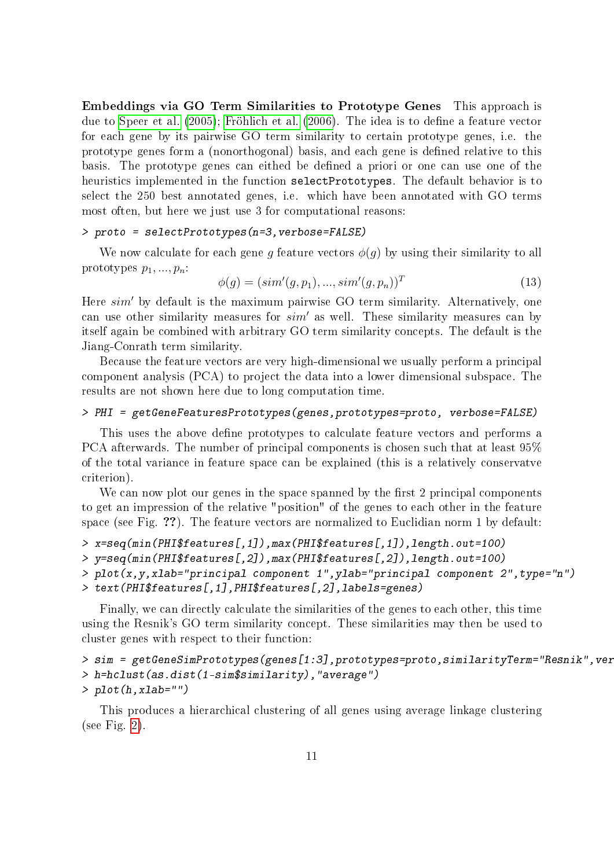Embeddings via GO Term Similarities to Prototype Genes This approach is due to [Speer et al.](#page-17-3) [\(2005\)](#page-17-3); [Fröhlich et al.](#page-16-7) [\(2006\)](#page-16-7). The idea is to define a feature vector for each gene by its pairwise GO term similarity to certain prototype genes, i.e. the prototype genes form a (nonorthogonal) basis, and each gene is defined relative to this basis. The prototype genes can eithed be defined a priori or one can use one of the heuristics implemented in the function selectPrototypes. The default behavior is to select the 250 best annotated genes, i.e. which have been annotated with GO terms most often, but here we just use 3 for computational reasons:

#### > proto = selectPrototypes(n=3,verbose=FALSE)

We now calculate for each gene g feature vectors  $\phi(g)$  by using their similarity to all prototypes  $p_1, ..., p_n$ :

$$
\phi(g) = (sim'(g, p_1), ..., sim'(g, p_n))^T
$$
\n(13)

Here  $sim'$  by default is the maximum pairwise GO term similarity. Alternatively, one can use other similarity measures for  $sim'$  as well. These similarity measures can by itself again be combined with arbitrary GO term similarity concepts. The default is the Jiang-Conrath term similarity.

Because the feature vectors are very high-dimensional we usually perform a principal component analysis (PCA) to project the data into a lower dimensional subspace. The results are not shown here due to long computation time.

### > PHI = getGeneFeaturesPrototypes(genes,prototypes=proto, verbose=FALSE)

This uses the above define prototypes to calculate feature vectors and performs a PCA afterwards. The number of principal components is chosen such that at least 95% of the total variance in feature space can be explained (this is a relatively conservatve criterion).

We can now plot our genes in the space spanned by the first  $2$  principal components to get an impression of the relative "position" of the genes to each other in the feature space (see Fig. ??). The feature vectors are normalized to Euclidian norm 1 by default:

```
> x=seq(min(PHI$features[,1]),max(PHI$features[,1]),length.out=100)
```

```
> y=seq(min(PHI$features[,2]),max(PHI$features[,2]),length.out=100)
```

```
> plot(x,y,xlab="principal component 1",ylab="principal component 2",type="n")
```
> text(PHI\$features[,1],PHI\$features[,2],labels=genes)

Finally, we can directly calculate the similarities of the genes to each other, this time using the Resnik's GO term similarity concept. These similarities may then be used to cluster genes with respect to their function:

```
> sim = getGeneSimPrototypes(genes[1:3],prototypes=proto,similarityTerm="Resnik",ver
> h=hclust(as.dist(1-sim$similarity),"average")
> plot(h, xlab="")
```
This produces a hierarchical clustering of all genes using average linkage clustering (see Fig. [2\)](#page-11-0).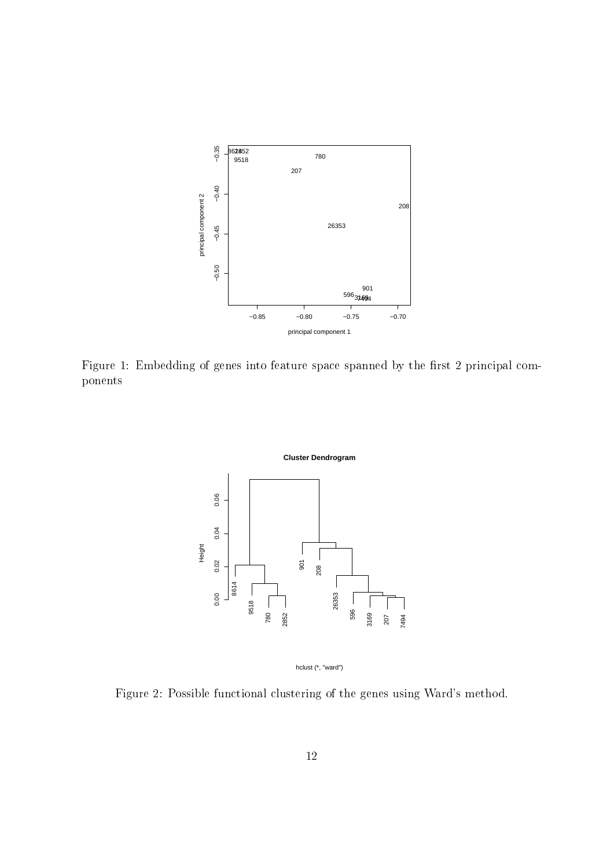

Figure 1: Embedding of genes into feature space spanned by the first 2 principal components



<span id="page-11-0"></span>Figure 2: Possible functional clustering of the genes using Ward's method.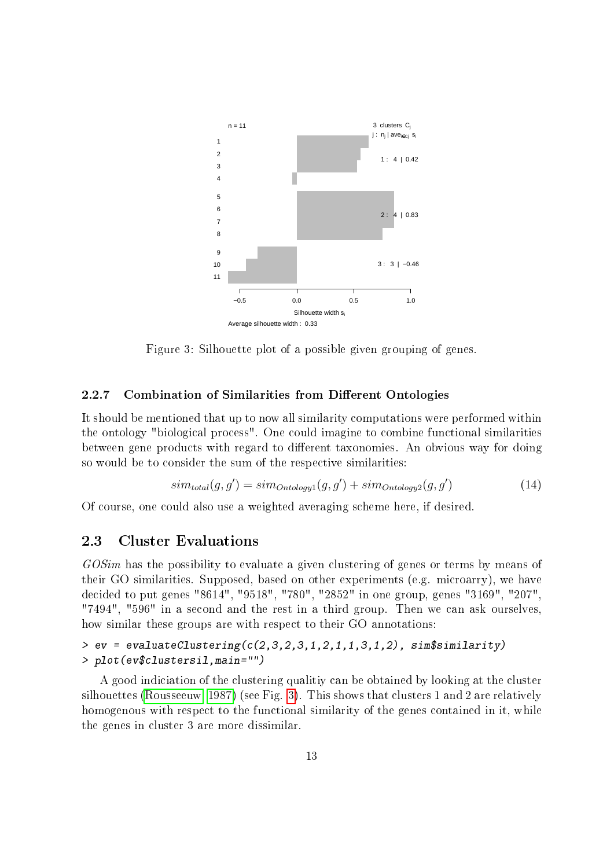

<span id="page-12-0"></span>Figure 3: Silhouette plot of a possible given grouping of genes.

#### 2.2.7 Combination of Similarities from Different Ontologies

It should be mentioned that up to now all similarity computations were performed within the ontology "biological process". One could imagine to combine functional similarities between gene products with regard to different taxonomies. An obvious way for doing so would be to consider the sum of the respective similarities:

$$
sim_{total}(g, g') = sim_{Ontology1}(g, g') + sim_{Ontology2}(g, g') \tag{14}
$$

Of course, one could also use a weighted averaging scheme here, if desired.

## 2.3 Cluster Evaluations

GOSim has the possibility to evaluate a given clustering of genes or terms by means of their GO similarities. Supposed, based on other experiments (e.g. microarry), we have decided to put genes "8614", "9518", "780", "2852" in one group, genes "3169", "207", "7494", "596" in a second and the rest in a third group. Then we can ask ourselves, how similar these groups are with respect to their GO annotations:

### $>$  ev = evaluateClustering( $c(2,3,2,3,1,2,1,1,3,1,2)$ , sim\$similarity) > plot(ev\$clustersil,main="")

A good indiciation of the clustering qualitiy can be obtained by looking at the cluster silhouettes [\(Rousseeuw, 1987\)](#page-17-9) (see Fig. [3\)](#page-12-0). This shows that clusters 1 and 2 are relatively homogenous with respect to the functional similarity of the genes contained in it, while the genes in cluster 3 are more dissimilar.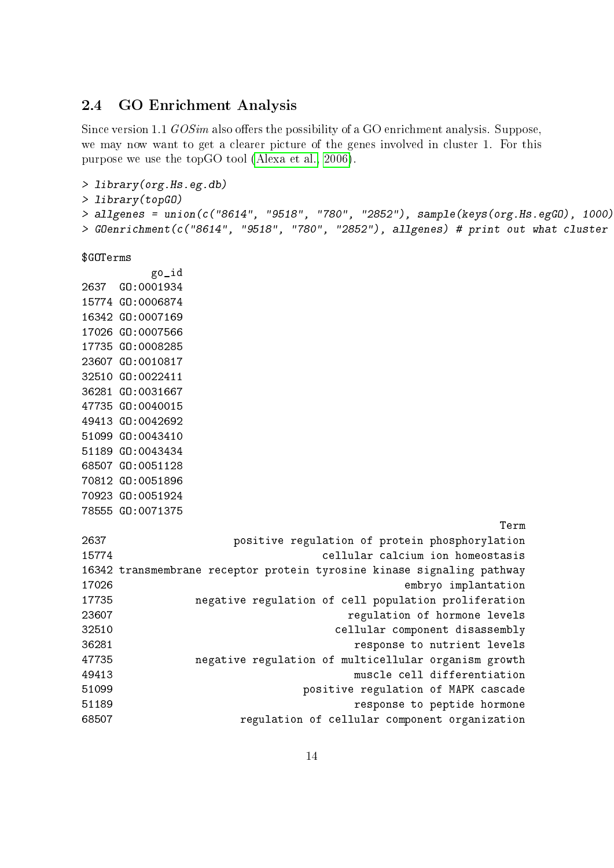## 2.4 GO Enrichment Analysis

Since version 1.1  $GOSim$  also offers the possibility of a GO enrichment analysis. Suppose, we may now want to get a clearer picture of the genes involved in cluster 1. For this purpose we use the topGO tool [\(Alexa et al., 2006\)](#page-16-9).

```
> library(org.Hs.eg.db)
> library(topGO)
> allgenes = union(c("8614", "9518", "780", "2852"), sample(keys(org.Hs.egGO), 1000)
> GOenrichment(c("8614", "9518", "780", "2852"), allgenes) # print out what cluster
```
\$GOTerms

|       | go_id            |                                                                        |
|-------|------------------|------------------------------------------------------------------------|
| 2637  | GO: 0001934      |                                                                        |
|       | 15774 GO:0006874 |                                                                        |
|       | 16342 GO:0007169 |                                                                        |
|       | 17026 GO:0007566 |                                                                        |
|       | 17735 GO:0008285 |                                                                        |
|       | 23607 GO:0010817 |                                                                        |
|       | 32510 GO:0022411 |                                                                        |
|       | 36281 GO:0031667 |                                                                        |
|       | 47735 GO:0040015 |                                                                        |
|       | 49413 GO:0042692 |                                                                        |
|       | 51099 GO:0043410 |                                                                        |
|       | 51189 GO:0043434 |                                                                        |
|       | 68507 GO:0051128 |                                                                        |
|       | 70812 GO:0051896 |                                                                        |
|       | 70923 GO:0051924 |                                                                        |
|       | 78555 GO:0071375 |                                                                        |
|       |                  | Term                                                                   |
| 2637  |                  | positive regulation of protein phosphorylation                         |
| 15774 |                  | cellular calcium ion homeostasis                                       |
|       |                  | 16342 transmembrane receptor protein tyrosine kinase signaling pathway |
| 17026 |                  | embryo implantation                                                    |
| 17735 |                  | negative regulation of cell population proliferation                   |
| 23607 |                  | regulation of hormone levels                                           |
| 32510 |                  | cellular component disassembly                                         |
| 36281 |                  | response to nutrient levels                                            |
| 47735 |                  | negative regulation of multicellular organism growth                   |
| 49413 |                  | muscle cell differentiation                                            |
| 51099 |                  | positive regulation of MAPK cascade                                    |
| 51189 |                  | response to peptide hormone                                            |
| 68507 |                  | regulation of cellular component organization                          |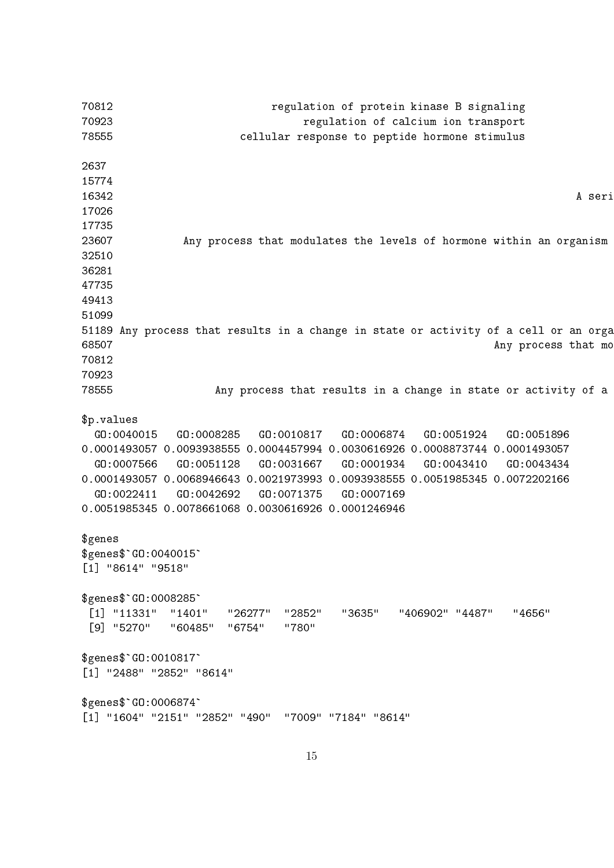70812 regulation of protein kinase B signaling 70923 regulation of calcium ion transport 78555 cellular response to peptide hormone stimulus  $2637$  any process that activates or extent or extent of addition of phosphate groups to amino acids within a protein.  $15774$ 16342 A seri  $17026$  $17735$ 23607 Any process that modulates the levels of hormone within an organism  $32510$  $36281$  $47735$  $49413$  $51099$  any process that activates or increases the frequency, rate or extent of signal transduction mediated by the MAPK cascade. 51189 Any process that results in a change in state or activity of a cell or an orga 68507 Any process that mo  $70812$  any protein kinase B signaling, rate or extent of protein kinase B signaling, a series of reactions mediated by the intracellular series of reactions mediated by the intracellular series protein kinase protein kin  $70923$  any process that modulates that modulates the directed movement of calcium ions into  $\alpha$  transporter or  $\alpha$  transporter or  $\alpha$  transporter or pore. 78555 May process that results in a change in state or activity of a \$p.values GO:0040015 GO:0008285 GO:0010817 GO:0006874 GO:0051924 GO:0051896 0.0001493057 0.0093938555 0.0004457994 0.0030616926 0.0008873744 0.0001493057 GO:0007566 GO:0051128 GO:0031667 GO:0001934 GO:0043410 GO:0043434 0.0001493057 0.0068946643 0.0021973993 0.0093938555 0.0051985345 0.0072202166 GO:0022411 GO:0042692 GO:0071375 GO:0007169 0.0051985345 0.0078661068 0.0030616926 0.0001246946 \$genes\$`GO:0040015` \$genes [1] "8614" "9518" \$genes\$`GO:0040015`<br>[1] "8614" "9518"<br>\$genes\$`GO:0008285` [1] "11331" "1401" "26277" "2852" "3635" "406902" "4487" "4656" [9] "5270" "60485" "6754" "780" \$genes\$`GO:0010817` [1] "2488" "2852" "8614" \$genes\$`GO:0010817`<br>[1] "2488" "2852" "<br>\$genes\$`GO:0006874` [1] "1604" "2151" "2852" "490" "7009" "7184" "8614"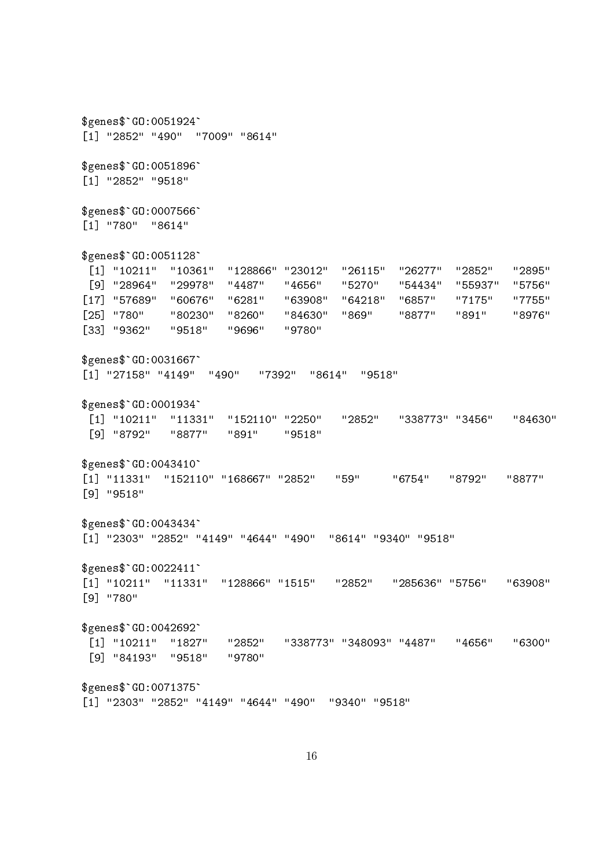[33] "9362" "9518" "9696" "9780" \$genes\$`GO:0031667` [1] "27158" "4149" "490" "7392" "8614" "9518" \$genes\$`GO:0001934` [1] "10211" "11331" "152110" "2250" "2852" "338773" "3456" "84630" [9] "8792" "8877" "891" "9518" \$genes\$`GO:0043410` [1] "11331" "152110" "168667" "2852" "59" "6754" "8792" "8877" \$genes\$`GO:0043434` [9] "9518" [1] "2303" "2852" "4149" "4644" "490" "8614" "9340" "9518" \$genes\$`GO:0043434`<br>[1] "2303" "2852" "<br>\$genes\$`GO:0022411` [1] "10211" "11331" "128866" "1515" "2852" "285636" "5756" "63908" \$genes\$`GO:0042692` [9] "780" [1] "10211" "1827" "2852" "338773" "348093" "4487" "4656" "6300" [9] "84193" "9518" "9780" \$genes\$`GO:0071375` [1] "2303" "2852" "4149" "4644" "490" "9340" "9518"

[1] "10211" "10361" "128866" "23012" "26115" "26277" "2852" "2895" [9] "28964" "29978" "4487" "4656" "5270" "54434" "55937" "5756" [17] "57689" "60676" "6281" "63908" "64218" "6857" "7175" "7755" [25] "780" "80230" "8260" "84630" "869" "8877" "891" "8976"

[1] "780" "8614" \$genes\$`GO:0007566`<br>[1] "780" "8614"<br>\$genes\$`GO:0051128`

[1] "2852" "9518" \$genes\$'GO:0051896`

\$genes\$`GO:0051924` [1] "2852" "490" "7009" "8614" \$genes\$`GO:0051924`<br>[1] "2852" "490" "<br>\$genes\$`GO:0051896`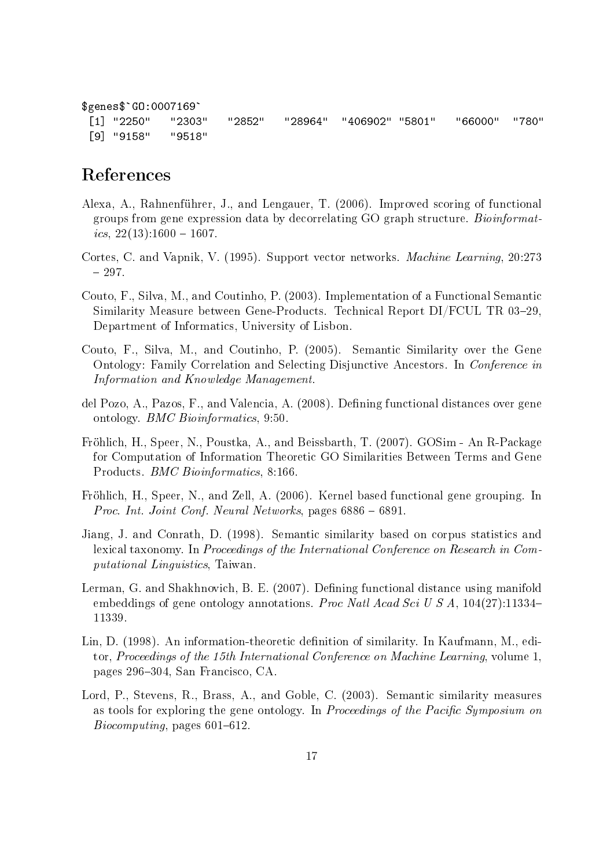```
$genes$`GO:0007169`
[1] "2250" "2303" "2852" "28964" "406902" "5801" "66000" "780"
[9] "9158" "9518"
```
## References

- <span id="page-16-9"></span>Alexa, A., Rahnenführer, J., and Lengauer, T. (2006). Improved scoring of functional groups from gene expression data by decorrelating GO graph structure. Bioinformatics,  $22(13):1600 - 1607$ .
- <span id="page-16-10"></span>Cortes, C. and Vapnik, V. (1995). Support vector networks. Machine Learning, 20:273  $-297.$
- <span id="page-16-4"></span>Couto, F., Silva, M., and Coutinho, P. (2003). Implementation of a Functional Semantic Similarity Measure between Gene-Products. Technical Report DI/FCUL TR 03-29, Department of Informatics, University of Lisbon.
- <span id="page-16-5"></span>Couto, F., Silva, M., and Coutinho, P. (2005). Semantic Similarity over the Gene Ontology: Family Correlation and Selecting Disjunctive Ancestors. In Conference in Information and Knowledge Management.
- <span id="page-16-8"></span>del Pozo, A., Pazos, F., and Valencia, A. (2008). Defining functional distances over gene ontology. BMC Bioinformatics, 9:50.
- <span id="page-16-0"></span>Fröhlich, H., Speer, N., Poustka, A., and Beissbarth, T. (2007). GOSim - An R-Package for Computation of Information Theoretic GO Similarities Between Terms and Gene Products. BMC Bioinformatics, 8:166.
- <span id="page-16-7"></span>Fröhlich, H., Speer, N., and Zell, A. (2006). Kernel based functional gene grouping. In *Proc. Int. Joint Conf. Neural Networks*, pages  $6886 - 6891$ .
- <span id="page-16-2"></span>Jiang, J. and Conrath, D. (1998). Semantic similarity based on corpus statistics and lexical taxonomy. In Proceedings of the International Conference on Research in Computational Linguistics, Taiwan.
- <span id="page-16-6"></span>Lerman, G. and Shakhnovich, B. E. (2007). Defining functional distance using manifold embeddings of gene ontology annotations. Proc Natl Acad Sci U S A, 104(27):11334– 11339.
- <span id="page-16-1"></span>Lin, D. (1998). An information-theoretic definition of similarity. In Kaufmann, M., editor, Proceedings of the 15th International Conference on Machine Learning, volume 1, pages 296-304, San Francisco, CA.
- <span id="page-16-3"></span>Lord, P., Stevens, R., Brass, A., and Goble, C. (2003). Semantic similarity measures as tools for exploring the gene ontology. In Proceedings of the Pacific Symposium on  $Biocomputing$ , pages 601–612.